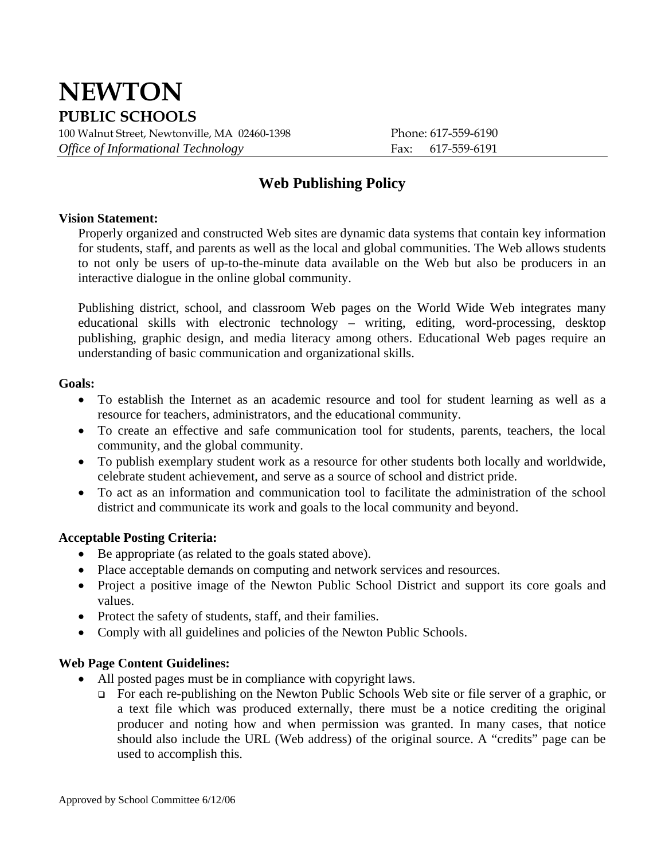# **NEWTON PUBLIC SCHOOLS**

100 Walnut Street, Newtonville, MA 02460-1398 Phone: 617-559-6190 *Office of Informational Technology* Fax: 617-559-6191

# **Web Publishing Policy**

#### **Vision Statement:**

Properly organized and constructed Web sites are dynamic data systems that contain key information for students, staff, and parents as well as the local and global communities. The Web allows students to not only be users of up-to-the-minute data available on the Web but also be producers in an interactive dialogue in the online global community.

Publishing district, school, and classroom Web pages on the World Wide Web integrates many educational skills with electronic technology – writing, editing, word-processing, desktop publishing, graphic design, and media literacy among others. Educational Web pages require an understanding of basic communication and organizational skills.

#### **Goals:**

- To establish the Internet as an academic resource and tool for student learning as well as a resource for teachers, administrators, and the educational community.
- To create an effective and safe communication tool for students, parents, teachers, the local community, and the global community.
- To publish exemplary student work as a resource for other students both locally and worldwide, celebrate student achievement, and serve as a source of school and district pride.
- To act as an information and communication tool to facilitate the administration of the school district and communicate its work and goals to the local community and beyond.

# **Acceptable Posting Criteria:**

- Be appropriate (as related to the goals stated above).
- Place acceptable demands on computing and network services and resources.
- Project a positive image of the Newton Public School District and support its core goals and values.
- Protect the safety of students, staff, and their families.
- Comply with all guidelines and policies of the Newton Public Schools.

# **Web Page Content Guidelines:**

- All posted pages must be in compliance with copyright laws.
	- For each re-publishing on the Newton Public Schools Web site or file server of a graphic, or a text file which was produced externally, there must be a notice crediting the original producer and noting how and when permission was granted. In many cases, that notice should also include the URL (Web address) of the original source. A "credits" page can be used to accomplish this.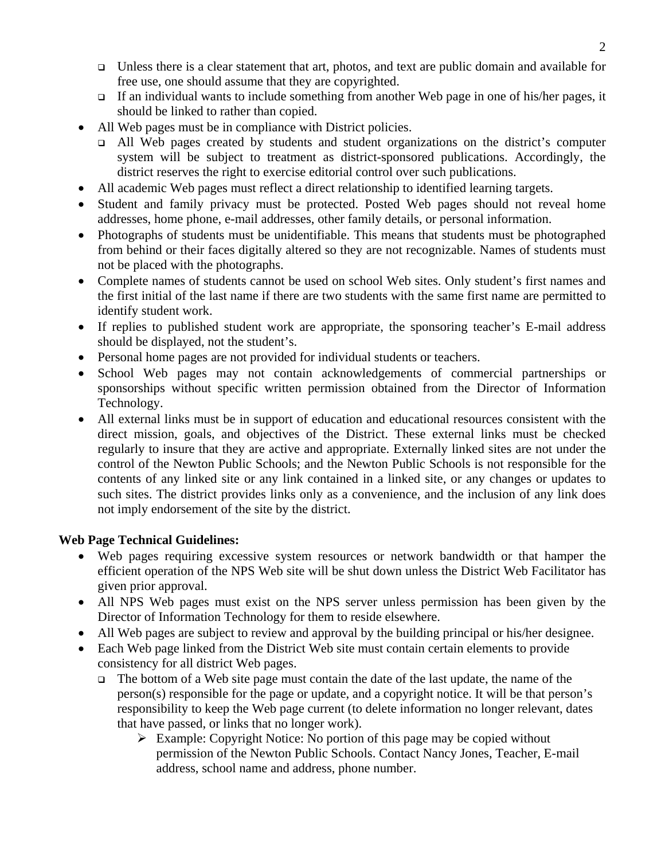- $\Box$  Unless there is a clear statement that art, photos, and text are public domain and available for free use, one should assume that they are copyrighted.
- If an individual wants to include something from another Web page in one of his/her pages, it should be linked to rather than copied.
- All Web pages must be in compliance with District policies.
	- All Web pages created by students and student organizations on the district's computer system will be subject to treatment as district-sponsored publications. Accordingly, the district reserves the right to exercise editorial control over such publications.
- All academic Web pages must reflect a direct relationship to identified learning targets.
- Student and family privacy must be protected. Posted Web pages should not reveal home addresses, home phone, e-mail addresses, other family details, or personal information.
- Photographs of students must be unidentifiable. This means that students must be photographed from behind or their faces digitally altered so they are not recognizable. Names of students must not be placed with the photographs.
- Complete names of students cannot be used on school Web sites. Only student's first names and the first initial of the last name if there are two students with the same first name are permitted to identify student work.
- If replies to published student work are appropriate, the sponsoring teacher's E-mail address should be displayed, not the student's.
- Personal home pages are not provided for individual students or teachers.
- School Web pages may not contain acknowledgements of commercial partnerships or sponsorships without specific written permission obtained from the Director of Information Technology.
- All external links must be in support of education and educational resources consistent with the direct mission, goals, and objectives of the District. These external links must be checked regularly to insure that they are active and appropriate. Externally linked sites are not under the control of the Newton Public Schools; and the Newton Public Schools is not responsible for the contents of any linked site or any link contained in a linked site, or any changes or updates to such sites. The district provides links only as a convenience, and the inclusion of any link does not imply endorsement of the site by the district.

# **Web Page Technical Guidelines:**

- Web pages requiring excessive system resources or network bandwidth or that hamper the efficient operation of the NPS Web site will be shut down unless the District Web Facilitator has given prior approval.
- All NPS Web pages must exist on the NPS server unless permission has been given by the Director of Information Technology for them to reside elsewhere.
- All Web pages are subject to review and approval by the building principal or his/her designee.
- Each Web page linked from the District Web site must contain certain elements to provide consistency for all district Web pages.
	- $\Box$  The bottom of a Web site page must contain the date of the last update, the name of the person(s) responsible for the page or update, and a copyright notice. It will be that person's responsibility to keep the Web page current (to delete information no longer relevant, dates that have passed, or links that no longer work).
		- $\triangleright$  Example: Copyright Notice: No portion of this page may be copied without permission of the Newton Public Schools. Contact Nancy Jones, Teacher, [E-mail](mailto:marc_richmond@newton.mec.edu)  [address](mailto:marc_richmond@newton.mec.edu), school name and address, phone number.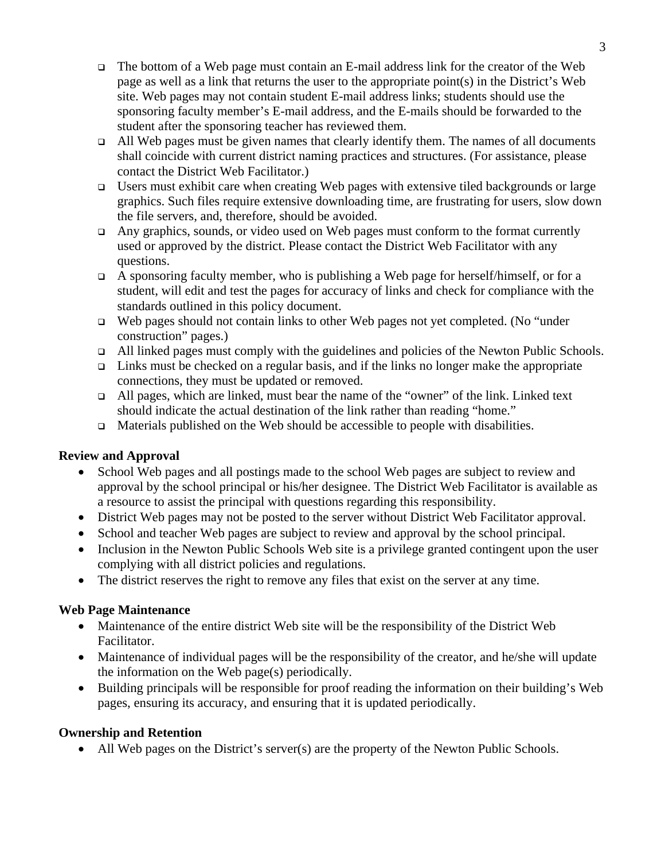- The bottom of a Web page must contain an E-mail address link for the creator of the Web page as well as a link that returns the user to the appropriate point(s) in the District's Web site. Web pages may not contain student E-mail address links; students should use the sponsoring faculty member's E-mail address, and the E-mails should be forwarded to the student after the sponsoring teacher has reviewed them.
- $\Box$  All Web pages must be given names that clearly identify them. The names of all documents shall coincide with current district naming practices and structures. (For assistance, please contact the District Web Facilitator.)
- **Users must exhibit care when creating Web pages with extensive tiled backgrounds or large** graphics. Such files require extensive downloading time, are frustrating for users, slow down the file servers, and, therefore, should be avoided.
- Any graphics, sounds, or video used on Web pages must conform to the format currently used or approved by the district. Please contact the District Web Facilitator with any questions.
- A sponsoring faculty member, who is publishing a Web page for herself/himself, or for a student, will edit and test the pages for accuracy of links and check for compliance with the standards outlined in this policy document.
- $\Box$  Web pages should not contain links to other Web pages not yet completed. (No "under construction" pages.)
- All linked pages must comply with the guidelines and policies of the Newton Public Schools.
- $\Box$  Links must be checked on a regular basis, and if the links no longer make the appropriate connections, they must be updated or removed.
- All pages, which are linked, must bear the name of the "owner" of the link. Linked text should indicate the actual destination of the link rather than reading "home."
- $\Box$  Materials published on the Web should be accessible to people with disabilities.

# **Review and Approval**

- School Web pages and all postings made to the school Web pages are subject to review and approval by the school principal or his/her designee. The District Web Facilitator is available as a resource to assist the principal with questions regarding this responsibility.
- District Web pages may not be posted to the server without District Web Facilitator approval.
- School and teacher Web pages are subject to review and approval by the school principal.
- Inclusion in the Newton Public Schools Web site is a privilege granted contingent upon the user complying with all district policies and regulations.
- The district reserves the right to remove any files that exist on the server at any time.

# **Web Page Maintenance**

- Maintenance of the entire district Web site will be the responsibility of the District Web Facilitator.
- Maintenance of individual pages will be the responsibility of the creator, and he/she will update the information on the Web page(s) periodically.
- Building principals will be responsible for proof reading the information on their building's Web pages, ensuring its accuracy, and ensuring that it is updated periodically.

# **Ownership and Retention**

• All Web pages on the District's server(s) are the property of the Newton Public Schools.